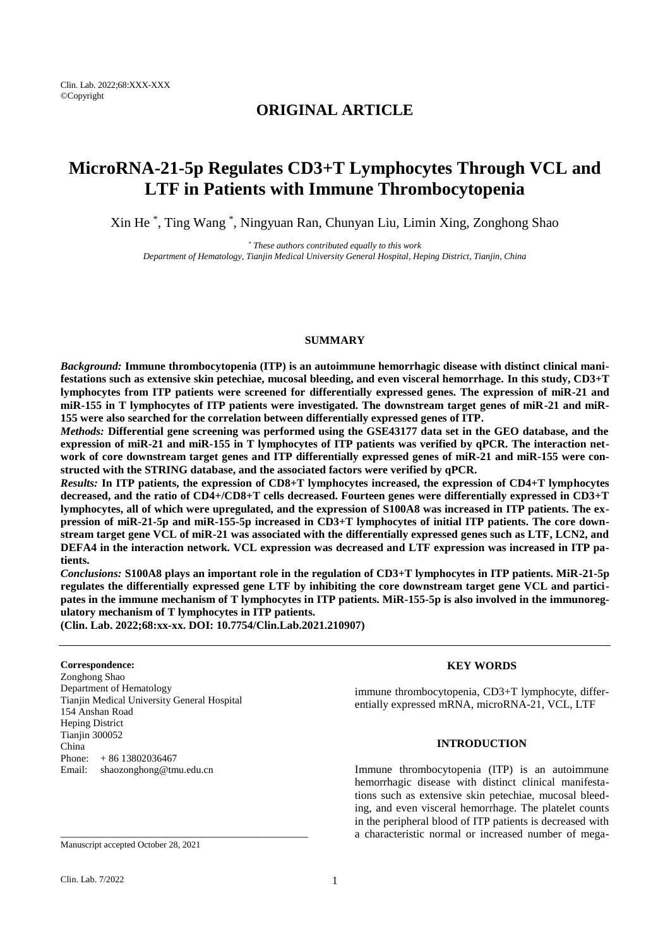## **ORIGINAL ARTICLE**

# **MicroRNA-21-5p Regulates CD3+T Lymphocytes Through VCL and LTF in Patients with Immune Thrombocytopenia**

Xin He \* , Ting Wang \* , Ningyuan Ran, Chunyan Liu, Limin Xing, Zonghong Shao

*\* These authors contributed equally to this work Department of Hematology, Tianjin Medical University General Hospital, Heping District, Tianjin, China*

## **SUMMARY**

*Background:* **Immune thrombocytopenia (ITP) is an autoimmune hemorrhagic disease with distinct clinical manifestations such as extensive skin petechiae, mucosal bleeding, and even visceral hemorrhage. In this study, CD3+T lymphocytes from ITP patients were screened for differentially expressed genes. The expression of miR-21 and miR-155 in T lymphocytes of ITP patients were investigated. The downstream target genes of miR-21 and miR-155 were also searched for the correlation between differentially expressed genes of ITP.**

*Methods:* **Differential gene screening was performed using the GSE43177 data set in the GEO database, and the expression of miR-21 and miR-155 in T lymphocytes of ITP patients was verified by qPCR. The interaction network of core downstream target genes and ITP differentially expressed genes of miR-21 and miR-155 were constructed with the STRING database, and the associated factors were verified by qPCR.** 

*Results:* **In ITP patients, the expression of CD8+T lymphocytes increased, the expression of CD4+T lymphocytes decreased, and the ratio of CD4+/CD8+T cells decreased. Fourteen genes were differentially expressed in CD3+T lymphocytes, all of which were upregulated, and the expression of S100A8 was increased in ITP patients. The expression of miR-21-5p and miR-155-5p increased in CD3+T lymphocytes of initial ITP patients. The core downstream target gene VCL of miR-21 was associated with the differentially expressed genes such as LTF, LCN2, and DEFA4 in the interaction network. VCL expression was decreased and LTF expression was increased in ITP patients.**

*Conclusions:* **S100A8 plays an important role in the regulation of CD3+T lymphocytes in ITP patients. MiR-21-5p regulates the differentially expressed gene LTF by inhibiting the core downstream target gene VCL and participates in the immune mechanism of T lymphocytes in ITP patients. MiR-155-5p is also involved in the immunoregulatory mechanism of T lymphocytes in ITP patients.**

**(Clin. Lab. 2022;68:xx-xx. DOI: 10.7754/Clin.Lab.2021.210907)**

#### **Correspondence:**

Zonghong Shao Department of Hematology Tianjin Medical University General Hospital 154 Anshan Road Heping District Tianjin 300052 China<br>Phone:  $+ 86 13802036467$ Email: shaozonghong@tmu.edu.cn

\_\_\_\_\_\_\_\_\_\_\_\_\_\_\_\_\_\_\_\_\_\_\_\_\_\_\_\_\_\_\_\_\_\_\_\_\_\_\_\_\_\_\_\_

#### **KEY WORDS**

immune thrombocytopenia, CD3+T lymphocyte, differentially expressed mRNA, microRNA-21, VCL, LTF

#### **INTRODUCTION**

Immune thrombocytopenia (ITP) is an autoimmune hemorrhagic disease with distinct clinical manifestations such as extensive skin petechiae, mucosal bleeding, and even visceral hemorrhage. The platelet counts in the peripheral blood of ITP patients is decreased with a characteristic normal or increased number of mega-

Manuscript accepted October 28, 2021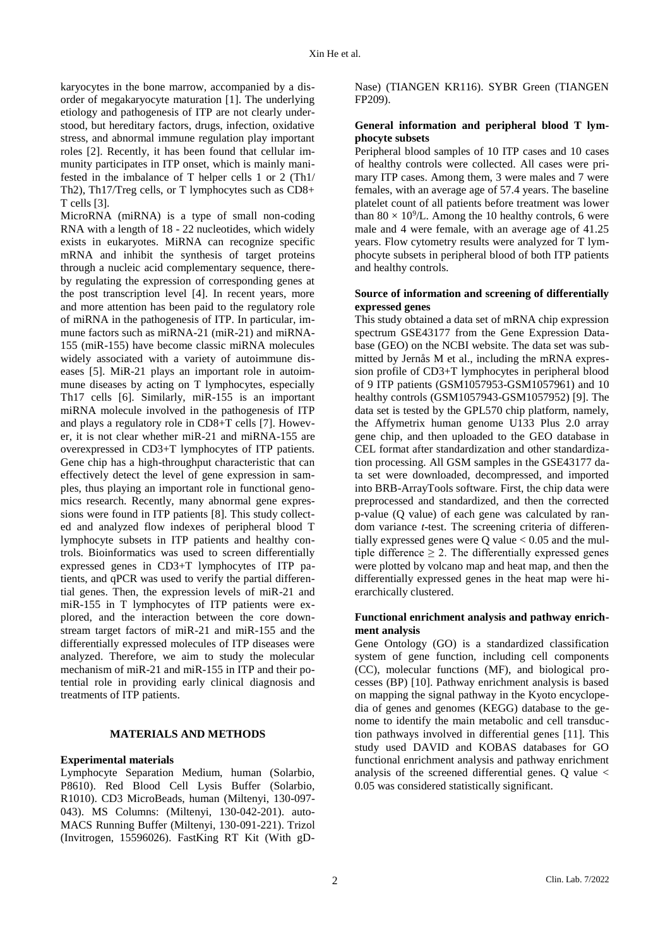karyocytes in the bone marrow, accompanied by a disorder of megakaryocyte maturation [1]. The underlying etiology and pathogenesis of ITP are not clearly understood, but hereditary factors, drugs, infection, oxidative stress, and abnormal immune regulation play important roles [2]. Recently, it has been found that cellular immunity participates in ITP onset, which is mainly manifested in the imbalance of T helper cells 1 or 2 (Th1/ Th2), Th17/Treg cells, or T lymphocytes such as CD8+ T cells [3].

MicroRNA (miRNA) is a type of small non-coding RNA with a length of 18 - 22 nucleotides, which widely exists in eukaryotes. MiRNA can recognize specific mRNA and inhibit the synthesis of target proteins through a nucleic acid complementary sequence, thereby regulating the expression of corresponding genes at the post transcription level [4]. In recent years, more and more attention has been paid to the regulatory role of miRNA in the pathogenesis of ITP. In particular, immune factors such as miRNA-21 (miR-21) and miRNA-155 (miR-155) have become classic miRNA molecules widely associated with a variety of autoimmune diseases [5]. MiR-21 plays an important role in autoimmune diseases by acting on T lymphocytes, especially Th17 cells [6]. Similarly, miR-155 is an important miRNA molecule involved in the pathogenesis of ITP and plays a regulatory role in CD8+T cells [7]. However, it is not clear whether miR-21 and miRNA-155 are overexpressed in CD3+T lymphocytes of ITP patients. Gene chip has a high-throughput characteristic that can effectively detect the level of gene expression in samples, thus playing an important role in functional genomics research. Recently, many abnormal gene expressions were found in ITP patients [8]. This study collected and analyzed flow indexes of peripheral blood T lymphocyte subsets in ITP patients and healthy controls. Bioinformatics was used to screen differentially expressed genes in CD3+T lymphocytes of ITP patients, and qPCR was used to verify the partial differential genes. Then, the expression levels of miR-21 and miR-155 in T lymphocytes of ITP patients were explored, and the interaction between the core downstream target factors of miR-21 and miR-155 and the differentially expressed molecules of ITP diseases were analyzed. Therefore, we aim to study the molecular mechanism of miR-21 and miR-155 in ITP and their potential role in providing early clinical diagnosis and treatments of ITP patients.

## **MATERIALS AND METHODS**

#### **Experimental materials**

Lymphocyte Separation Medium, human (Solarbio, P8610). Red Blood Cell Lysis Buffer (Solarbio, R1010). CD3 MicroBeads, human (Miltenyi, 130-097- 043). MS Columns: (Miltenyi, 130-042-201). auto-MACS Running Buffer (Miltenyi, 130-091-221). Trizol (Invitrogen, 15596026). FastKing RT Kit (With gD-

Nase) (TIANGEN KR116). SYBR Green (TIANGEN FP209).

## **General information and peripheral blood T lymphocyte subsets**

Peripheral blood samples of 10 ITP cases and 10 cases of healthy controls were collected. All cases were primary ITP cases. Among them, 3 were males and 7 were females, with an average age of 57.4 years. The baseline platelet count of all patients before treatment was lower than  $80 \times 10^9$ /L. Among the 10 healthy controls, 6 were male and 4 were female, with an average age of 41.25 years. Flow cytometry results were analyzed for T lymphocyte subsets in peripheral blood of both ITP patients and healthy controls.

## **Source of information and screening of differentially expressed genes**

This study obtained a data set of mRNA chip expression spectrum GSE43177 from the Gene Expression Database (GEO) on the NCBI website. The data set was submitted by Jernås M et al., including the mRNA expression profile of CD3+T lymphocytes in peripheral blood of 9 ITP patients (GSM1057953-GSM1057961) and 10 healthy controls (GSM1057943-GSM1057952) [9]. The data set is tested by the GPL570 chip platform, namely, the Affymetrix human genome U133 Plus 2.0 array gene chip, and then uploaded to the GEO database in CEL format after standardization and other standardization processing. All GSM samples in the GSE43177 data set were downloaded, decompressed, and imported into BRB-ArrayTools software. First, the chip data were preprocessed and standardized, and then the corrected p-value (Q value) of each gene was calculated by random variance *t*-test. The screening criteria of differentially expressed genes were  $Q$  value  $< 0.05$  and the multiple difference  $\geq 2$ . The differentially expressed genes were plotted by volcano map and heat map, and then the differentially expressed genes in the heat map were hierarchically clustered.

#### **Functional enrichment analysis and pathway enrichment analysis**

Gene Ontology (GO) is a standardized classification system of gene function, including cell components (CC), molecular functions (MF), and biological processes (BP) [10]. Pathway enrichment analysis is based on mapping the signal pathway in the Kyoto encyclopedia of genes and genomes (KEGG) database to the genome to identify the main metabolic and cell transduction pathways involved in differential genes [11]. This study used DAVID and KOBAS databases for GO functional enrichment analysis and pathway enrichment analysis of the screened differential genes. Q value < 0.05 was considered statistically significant.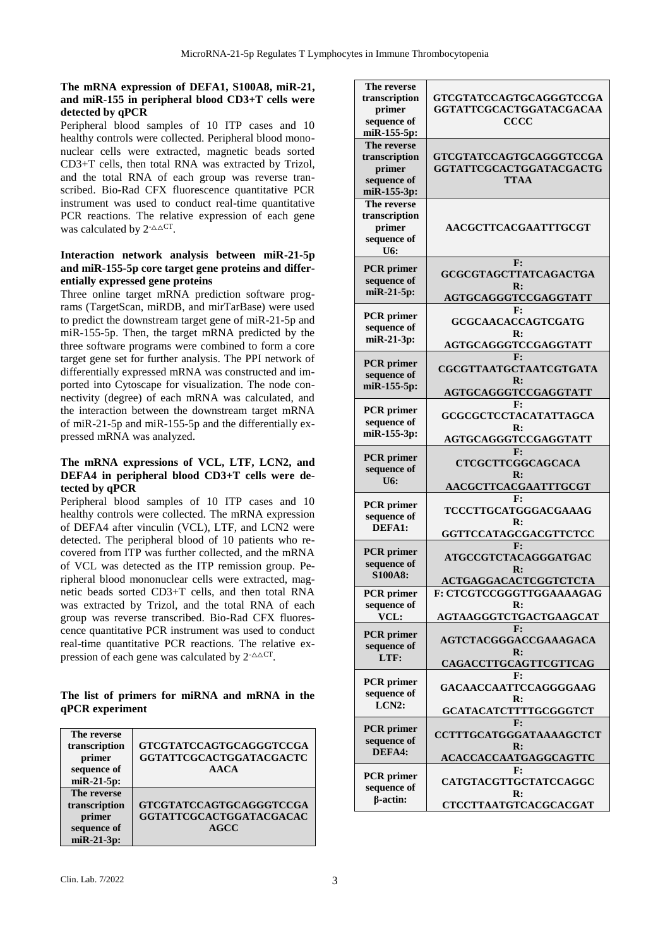## **The mRNA expression of DEFA1, S100A8, miR-21, and miR-155 in peripheral blood CD3+T cells were detected by qPCR**

Peripheral blood samples of 10 ITP cases and 10 healthy controls were collected. Peripheral blood mononuclear cells were extracted, magnetic beads sorted CD3+T cells, then total RNA was extracted by Trizol, and the total RNA of each group was reverse transcribed. Bio-Rad CFX fluorescence quantitative PCR instrument was used to conduct real-time quantitative PCR reactions. The relative expression of each gene was calculated by  $2$ <sup>- $\triangle \triangle$ CT</sup>.

## **Interaction network analysis between miR-21-5p and miR-155-5p core target gene proteins and differentially expressed gene proteins**

Three online target mRNA prediction software programs (TargetScan, miRDB, and mirTarBase) were used to predict the downstream target gene of miR-21-5p and miR-155-5p. Then, the target mRNA predicted by the three software programs were combined to form a core target gene set for further analysis. The PPI network of differentially expressed mRNA was constructed and imported into Cytoscape for visualization. The node connectivity (degree) of each mRNA was calculated, and the interaction between the downstream target mRNA of miR-21-5p and miR-155-5p and the differentially expressed mRNA was analyzed.

## **The mRNA expressions of VCL, LTF, LCN2, and DEFA4 in peripheral blood CD3+T cells were detected by qPCR**

Peripheral blood samples of 10 ITP cases and 10 healthy controls were collected. The mRNA expression of DEFA4 after vinculin (VCL), LTF, and LCN2 were detected. The peripheral blood of 10 patients who recovered from ITP was further collected, and the mRNA of VCL was detected as the ITP remission group. Peripheral blood mononuclear cells were extracted, magnetic beads sorted CD3+T cells, and then total RNA was extracted by Trizol, and the total RNA of each group was reverse transcribed. Bio-Rad CFX fluorescence quantitative PCR instrument was used to conduct real-time quantitative PCR reactions. The relative expression of each gene was calculated by  $2 \triangle^{\triangle C T}$ .

## **The list of primers for miRNA and mRNA in the qPCR experiment**

| The reverse<br>transcription<br>primer<br>sequence of<br>$miR-21-5p$ : | GTCGTATCCAGTGCAGGGTCCGA<br>GGTATTCGCACTGGATACGACTC<br><b>AACA</b>        |
|------------------------------------------------------------------------|--------------------------------------------------------------------------|
| The reverse<br>transcription<br>primer<br>sequence of<br>miR-21-3p:    | <b>GTCGTATCCAGTGCAGGGTCCGA</b><br>GGTATTCGCACTGGATACGACAC<br><b>AGCC</b> |

| The reverse<br>transcription<br>primer<br>sequence of<br>miR-155-5p: | GTCGTATCCAGTGCAGGGTCCGA<br>GGTATTCGCACTGGATACGACAA<br><b>CCCC</b>                                    |
|----------------------------------------------------------------------|------------------------------------------------------------------------------------------------------|
| The reverse<br>transcription<br>primer<br>sequence of<br>miR-155-3p: | GTCGTATCCAGTGCAGGGTCCGA<br>GGTATTCGCACTGGATACGACTG<br><b>TTAA</b>                                    |
| The reverse<br>transcription<br>primer<br>sequence of<br>U6:         | AACGCTTCACGAATTTGCGT                                                                                 |
| <b>PCR</b> primer<br>sequence of<br>miR-21-5p:                       | F:<br>GCGCGTAGCTTATCAGACTGA<br>$\mathbf{R}$ :<br>AGTGCAGGGTCCGAGGTATT                                |
| <b>PCR</b> primer<br>sequence of<br>miR-21-3p:                       | F:<br><b>GCGCAACACCAGTCGATG</b><br>R:<br><b>AGTGCAGGGTCCGAGGTATT</b>                                 |
| <b>PCR</b> primer<br>sequence of<br>miR-155-5p:                      | F:<br><b>CGCGTTAATGCTAATCGTGATA</b><br>$\mathbf{R}$ :<br><b>AGTGCAGGGTCCGAGGTATT</b>                 |
| <b>PCR</b> primer<br>sequence of<br>miR-155-3p:                      | F:<br>GCGCGCTCCTACATATTAGCA<br>$\mathbf{R}$ :<br>AGTGCAGGGTCCGAGGTATT                                |
|                                                                      | F:                                                                                                   |
| <b>PCR</b> primer<br>sequence of<br>U6:                              | <b>CTCGCTTCGGCAGCACA</b><br>$\mathbf{R}$ :                                                           |
| PCR primer<br>sequence of<br>DEFA1:                                  | AACGCTTCACGAATTTGCGT<br>F:<br>TCCCTTGCATGGGACGAAAG<br>R:                                             |
| <b>PCR</b> primer<br>sequence of<br><b>S100A8:</b>                   | GGTTCCATAGCGACGTTCTCC<br>F:<br>ATGCCGTCTACAGGGATGAC<br>$\mathbf{R}$ :                                |
| <b>PCR</b> primer<br>sequence of<br>VCL:                             | <b>ACTGAGGACACTCGGTCTCTA</b><br>F: CTCGTCCGGGTTGGAAAAGAG<br>$\mathbf{R}$ :<br>AGTAAGGGTCTGACTGAAGCAT |
| <b>PCR</b> primer<br>sequence of<br>LTF:                             | F:<br>AGTCTACGGGACCGAAAGACA<br>$\mathbf{R}$ :<br>CAGACCTTGCAGTTCGTTCAG                               |
| <b>PCR</b> primer<br>sequence of<br>LCN2:                            | F:<br><b>GACAACCAATTCCAGGGGAAG</b><br>$\mathbf{R}$ :<br>GCATACATCTTTTGCGGGTCT                        |
| <b>PCR</b> primer<br>sequence of<br>DEFA4:                           | ${\bf F}$ :<br><b>CCTTTGCATGGGATAAAAGCTCT</b><br>$\mathbf{R}$ :<br>ACACCACCAATGAGGCAGTTC             |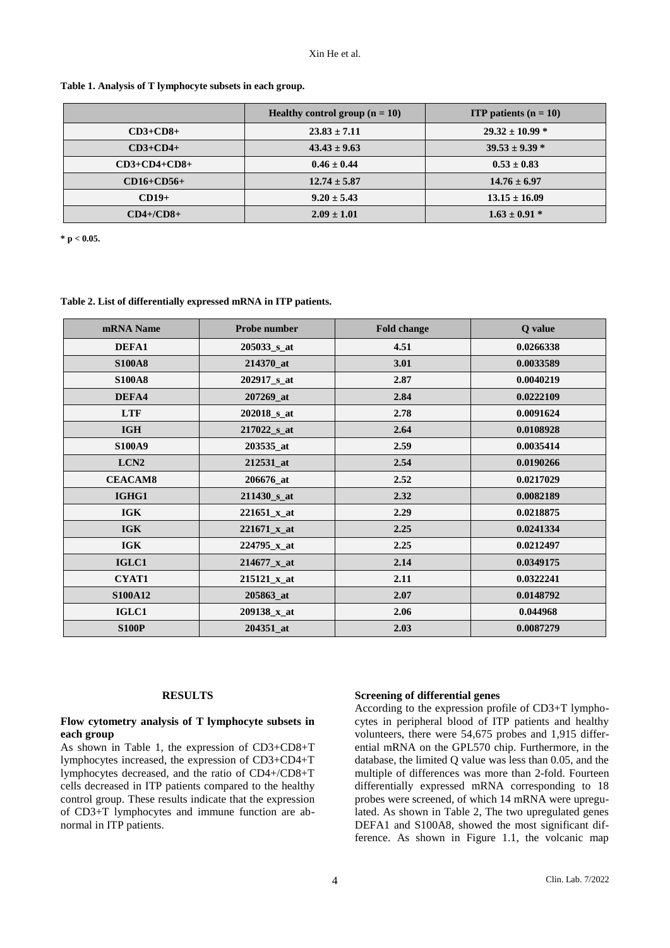|                     | <b>Healthy control group <math>(n = 10)</math></b> | <b>ITP</b> patients $(n = 10)$ |
|---------------------|----------------------------------------------------|--------------------------------|
| $CD3 + CD8 +$       | $23.83 \pm 7.11$                                   | $29.32 \pm 10.99$ *            |
| $CD3+CD4+$          | $43.43 \pm 9.63$                                   | $39.53 \pm 9.39$ *             |
| $CD3 + CD4 + CD8 +$ | $0.46 \pm 0.44$                                    | $0.53 \pm 0.83$                |
| $CD16 + CD56 +$     | $12.74 \pm 5.87$                                   | $14.76 \pm 6.97$               |
| $CD19+$             | $9.20 \pm 5.43$                                    | $13.15 \pm 16.09$              |
| $CD4+/CD8+$         | $2.09 \pm 1.01$                                    | $1.63 \pm 0.91$ *              |

#### **Table 1. Analysis of T lymphocyte subsets in each group.**

**\* p < 0.05.**

## **Table 2. List of differentially expressed mRNA in ITP patients.**

| mRNA Name        | Probe number              | <b>Fold change</b> | Q value   |
|------------------|---------------------------|--------------------|-----------|
| <b>DEFA1</b>     | $205033$ <sub>_S_at</sub> | 4.51               | 0.0266338 |
| <b>S100A8</b>    | 214370 at                 | 3.01               | 0.0033589 |
| <b>S100A8</b>    | 202917 <sub>_S_at</sub>   | 2.87               | 0.0040219 |
| DEFA4            | 207269_at                 | 2.84               | 0.0222109 |
| <b>LTF</b>       | $202018$ <sub>_S_at</sub> | 2.78               | 0.0091624 |
| <b>IGH</b>       | $217022$ s at             | 2.64               | 0.0108928 |
| <b>S100A9</b>    | 203535_at                 | 2.59               | 0.0035414 |
| LCN <sub>2</sub> | 212531_at                 | 2.54               | 0.0190266 |
| <b>CEACAM8</b>   | 206676_at                 | 2.52               | 0.0217029 |
| IGHG1            | 211430 <sub>_S_at</sub>   | 2.32               | 0.0082189 |
| <b>IGK</b>       | $221651_x$ _at            | 2.29               | 0.0218875 |
| <b>IGK</b>       | $221671_x$ _at            | 2.25               | 0.0241334 |
| <b>IGK</b>       | $224795_x$ _at            | 2.25               | 0.0212497 |
| IGLC1            | $214677_x$ _at            | 2.14               | 0.0349175 |
| <b>CYAT1</b>     | $215121_x$ _at            | 2.11               | 0.0322241 |
| <b>S100A12</b>   | 205863_at                 | 2.07               | 0.0148792 |
| IGLC1            | 209138_x_at               | 2.06               | 0.044968  |
| <b>S100P</b>     | 204351 at                 | 2.03               | 0.0087279 |

#### **RESULTS**

#### **Flow cytometry analysis of T lymphocyte subsets in each group**

As shown in Table 1, the expression of CD3+CD8+T lymphocytes increased, the expression of CD3+CD4+T lymphocytes decreased, and the ratio of CD4+/CD8+T cells decreased in ITP patients compared to the healthy control group. These results indicate that the expression of CD3+T lymphocytes and immune function are abnormal in ITP patients.

## **Screening of differential genes**

According to the expression profile of CD3+T lymphocytes in peripheral blood of ITP patients and healthy volunteers, there were 54,675 probes and 1,915 differential mRNA on the GPL570 chip. Furthermore, in the database, the limited Q value was less than 0.05, and the multiple of differences was more than 2-fold. Fourteen differentially expressed mRNA corresponding to 18 probes were screened, of which 14 mRNA were upregulated. As shown in Table 2, The two upregulated genes DEFA1 and S100A8, showed the most significant difference. As shown in Figure 1.1, the volcanic map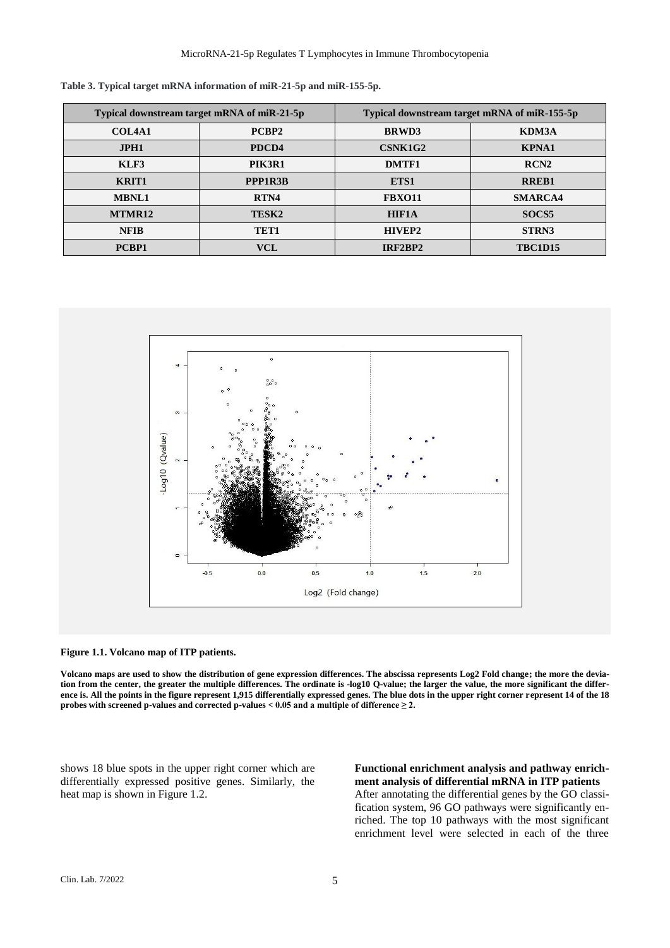| Typical downstream target mRNA of miR-21-5p |         | Typical downstream target mRNA of miR-155-5p |                   |
|---------------------------------------------|---------|----------------------------------------------|-------------------|
| <b>COL4A1</b>                               | PCBP2   | <b>BRWD3</b>                                 | KDM3A             |
| JPH1                                        | PDCD4   | CSNK1G2                                      | <b>KPNA1</b>      |
| KLF3                                        | PIK3R1  | DMTF1                                        | RCN <sub>2</sub>  |
| <b>KRIT1</b>                                | PPP1R3B | ETS1                                         | <b>RREB1</b>      |
| <b>MBNL1</b>                                | RTN4    | <b>FBXO11</b>                                | <b>SMARCA4</b>    |
| MTMR12                                      | TESK2   | <b>HIF1A</b>                                 | SOCS <sub>5</sub> |
| <b>NFIB</b>                                 | TET1    | HIVEP2                                       | STRN3             |
| PCBP1                                       | VCL     | IRF2BP2                                      | <b>TBC1D15</b>    |

**Table 3. Typical target mRNA information of miR-21-5p and miR-155-5p.**



**Figure 1.1. Volcano map of ITP patients.** 

**Volcano maps are used to show the distribution of gene expression differences. The abscissa represents Log2 Fold change; the more the devia**tion from the center, the greater the multiple differences. The ordinate is -log10 Q-value; the larger the value, the more significant the differ**ence is. All the points in the figure represent 1,915 differentially expressed genes. The blue dots in the upper right corner represent 14 of the 18 probes with screened p-values and corrected p-values < 0.05 and a multiple of difference ≥ 2.**

shows 18 blue spots in the upper right corner which are differentially expressed positive genes. Similarly, the heat map is shown in Figure 1.2.

**Functional enrichment analysis and pathway enrichment analysis of differential mRNA in ITP patients** After annotating the differential genes by the GO classification system, 96 GO pathways were significantly enriched. The top 10 pathways with the most significant enrichment level were selected in each of the three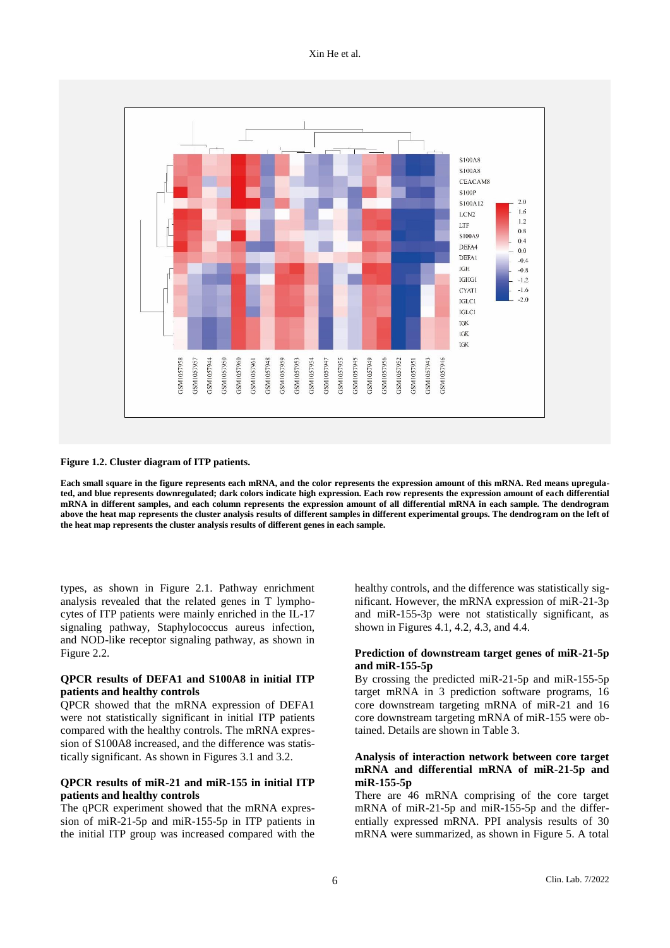

**Figure 1.2. Cluster diagram of ITP patients.** 

**Each small square in the figure represents each mRNA, and the color represents the expression amount of this mRNA. Red means upregulated, and blue represents downregulated; dark colors indicate high expression. Each row represents the expression amount of each differential mRNA in different samples, and each column represents the expression amount of all differential mRNA in each sample. The dendrogram above the heat map represents the cluster analysis results of different samples in different experimental groups. The dendrogram on the left of the heat map represents the cluster analysis results of different genes in each sample.**

types, as shown in Figure 2.1. Pathway enrichment analysis revealed that the related genes in T lymphocytes of ITP patients were mainly enriched in the IL-17 signaling pathway, Staphylococcus aureus infection, and NOD-like receptor signaling pathway, as shown in Figure 2.2.

## **QPCR results of DEFA1 and S100A8 in initial ITP patients and healthy controls**

QPCR showed that the mRNA expression of DEFA1 were not statistically significant in initial ITP patients compared with the healthy controls. The mRNA expression of S100A8 increased, and the difference was statistically significant. As shown in Figures 3.1 and 3.2.

## **QPCR results of miR-21 and miR-155 in initial ITP patients and healthy controls**

The qPCR experiment showed that the mRNA expression of miR-21-5p and miR-155-5p in ITP patients in the initial ITP group was increased compared with the

healthy controls, and the difference was statistically significant. However, the mRNA expression of miR-21-3p and miR-155-3p were not statistically significant, as shown in Figures 4.1, 4.2, 4.3, and 4.4.

#### **Prediction of downstream target genes of miR-21-5p and miR-155-5p**

By crossing the predicted miR-21-5p and miR-155-5p target mRNA in 3 prediction software programs, 16 core downstream targeting mRNA of miR-21 and 16 core downstream targeting mRNA of miR-155 were obtained. Details are shown in Table 3.

## **Analysis of interaction network between core target mRNA and differential mRNA of miR-21-5p and miR-155-5p**

There are 46 mRNA comprising of the core target mRNA of miR-21-5p and miR-155-5p and the differentially expressed mRNA. PPI analysis results of 30 mRNA were summarized, as shown in Figure 5. A total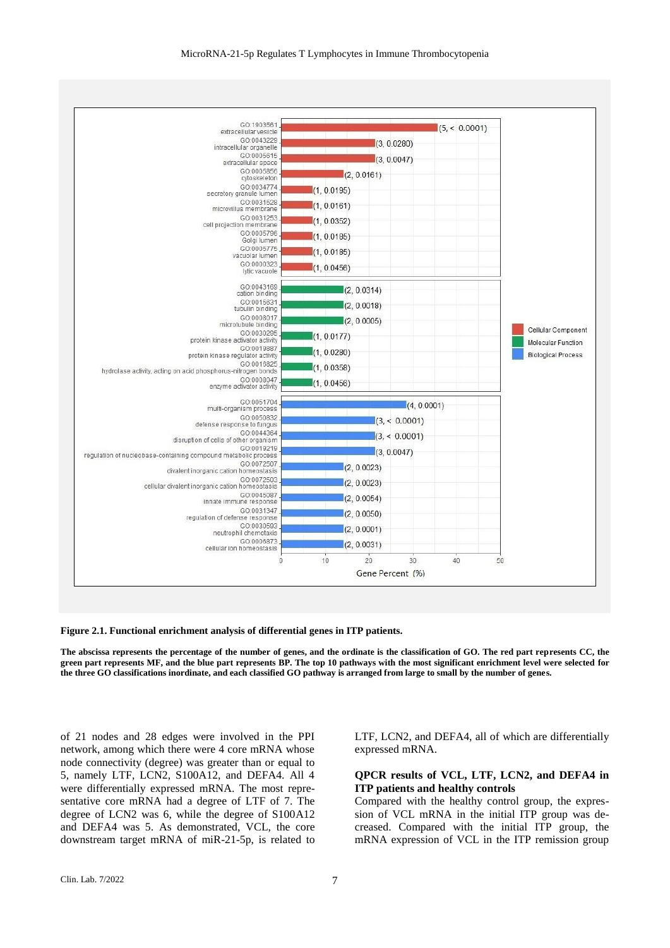

**Figure 2.1. Functional enrichment analysis of differential genes in ITP patients.** 

**The abscissa represents the percentage of the number of genes, and the ordinate is the classification of GO. The red part represents CC, the green part represents MF, and the blue part represents BP. The top 10 pathways with the most significant enrichment level were selected for the three GO classifications inordinate, and each classified GO pathway is arranged from large to small by the number of genes.**

of 21 nodes and 28 edges were involved in the PPI network, among which there were 4 core mRNA whose node connectivity (degree) was greater than or equal to 5, namely LTF, LCN2, S100A12, and DEFA4. All 4 were differentially expressed mRNA. The most representative core mRNA had a degree of LTF of 7. The degree of LCN2 was 6, while the degree of S100A12 and DEFA4 was 5. As demonstrated, VCL, the core downstream target mRNA of miR-21-5p, is related to LTF, LCN2, and DEFA4, all of which are differentially expressed mRNA.

## **QPCR results of VCL, LTF, LCN2, and DEFA4 in ITP patients and healthy controls**

Compared with the healthy control group, the expression of VCL mRNA in the initial ITP group was decreased. Compared with the initial ITP group, the mRNA expression of VCL in the ITP remission group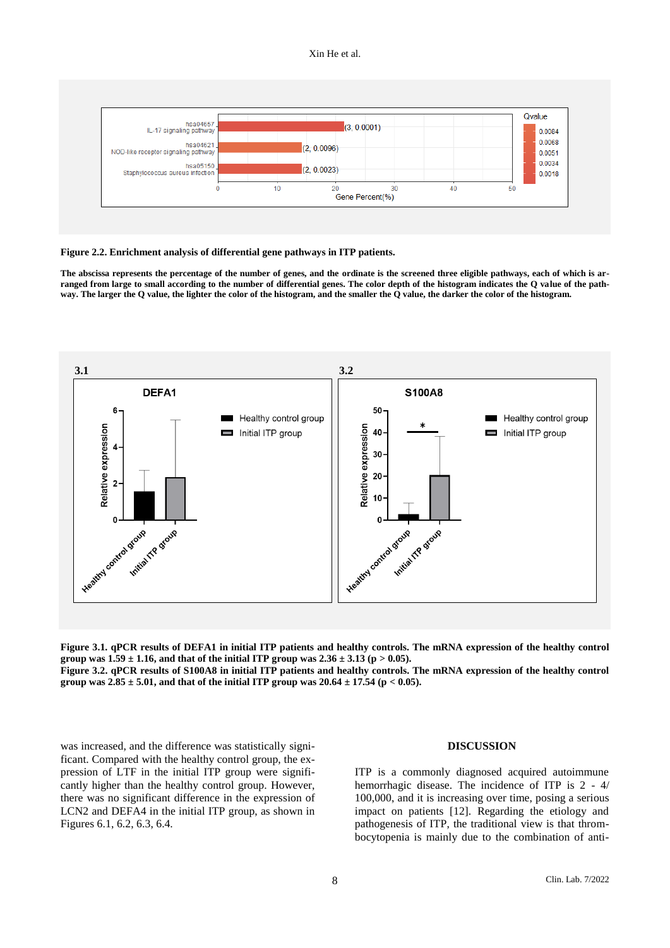

**Figure 2.2. Enrichment analysis of differential gene pathways in ITP patients.** 

**The abscissa represents the percentage of the number of genes, and the ordinate is the screened three eligible pathways, each of which is arranged from large to small according to the number of differential genes. The color depth of the histogram indicates the Q value of the pathway. The larger the Q value, the lighter the color of the histogram, and the smaller the Q value, the darker the color of the histogram.**



**Figure 3.1. qPCR results of DEFA1 in initial ITP patients and healthy controls. The mRNA expression of the healthy control group was**  $1.59 \pm 1.16$ **, and that of the initial ITP group was**  $2.36 \pm 3.13$  **(p**  $> 0.05$ **). Figure 3.2. qPCR results of S100A8 in initial ITP patients and healthy controls. The mRNA expression of the healthy control group was 2.85**  $\pm$  **5.01, and that of the initial ITP group was 20.64**  $\pm$  **17.54 (p < 0.05).** 

was increased, and the difference was statistically significant. Compared with the healthy control group, the expression of LTF in the initial ITP group were significantly higher than the healthy control group. However, there was no significant difference in the expression of LCN2 and DEFA4 in the initial ITP group, as shown in Figures 6.1, 6.2, 6.3, 6.4.

## **DISCUSSION**

ITP is a commonly diagnosed acquired autoimmune hemorrhagic disease. The incidence of ITP is 2 - 4/ 100,000, and it is increasing over time, posing a serious impact on patients [12]. Regarding the etiology and pathogenesis of ITP, the traditional view is that thrombocytopenia is mainly due to the combination of anti-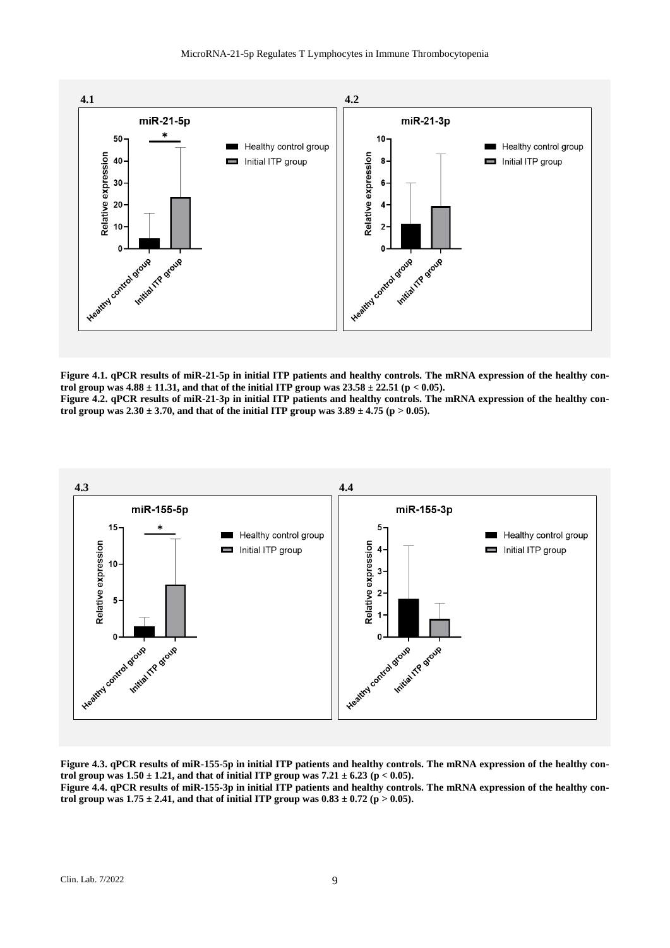

**Figure 4.1. qPCR results of miR-21-5p in initial ITP patients and healthy controls. The mRNA expression of the healthy control group was 4.88 ± 11.31, and that of the initial ITP group was 23.58 ± 22.51 (p < 0.05). Figure 4.2. qPCR results of miR-21-3p in initial ITP patients and healthy controls. The mRNA expression of the healthy con**trol group was  $2.30 \pm 3.70$ , and that of the initial ITP group was  $3.89 \pm 4.75$  (p  $> 0.05$ ).



**Figure 4.3. qPCR results of miR-155-5p in initial ITP patients and healthy controls. The mRNA expression of the healthy control group was**  $1.50 \pm 1.21$ **, and that of initial ITP group was**  $7.21 \pm 6.23$  **(** $p < 0.05$ **).** 

**Figure 4.4. qPCR results of miR-155-3p in initial ITP patients and healthy controls. The mRNA expression of the healthy control group was 1.75**  $\pm$  **2.41, and that of initial ITP group was**  $0.83 \pm 0.72$  **(p**  $> 0.05$ **).**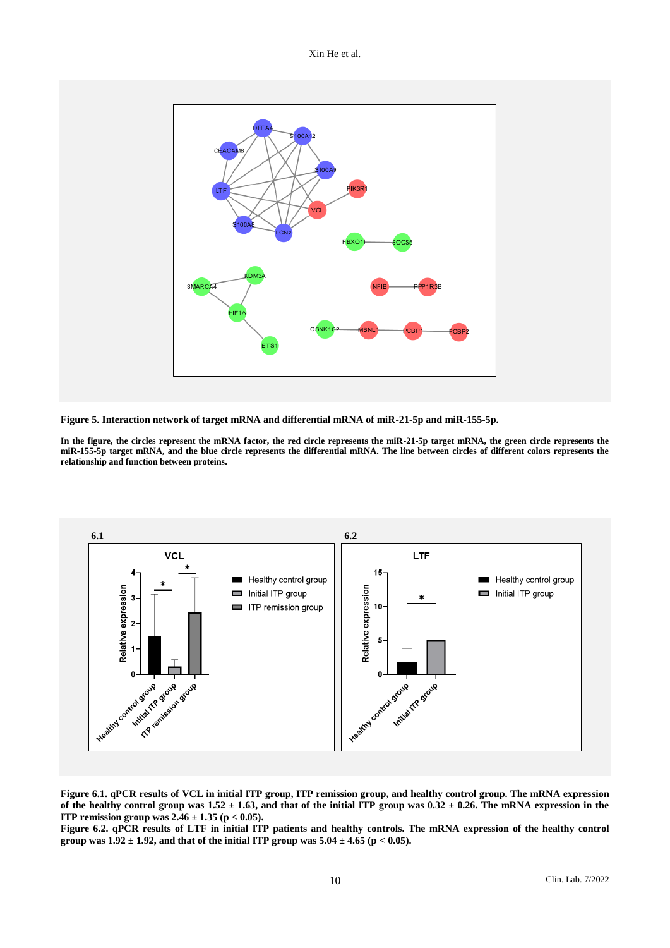

**Figure 5. Interaction network of target mRNA and differential mRNA of miR-21-5p and miR-155-5p.** 

**In the figure, the circles represent the mRNA factor, the red circle represents the miR-21-5p target mRNA, the green circle represents the miR-155-5p target mRNA, and the blue circle represents the differential mRNA. The line between circles of different colors represents the relationship and function between proteins.**



**Figure 6.1. qPCR results of VCL in initial ITP group, ITP remission group, and healthy control group. The mRNA expression**  of the healthy control group was  $1.52 \pm 1.63$ , and that of the initial ITP group was  $0.32 \pm 0.26$ . The mRNA expression in the **ITP remission group was 2.46 ± 1.35 (p < 0.05).** 

Figure 6.2. **qPCR** results of LTF in initial ITP patients and healthy controls. The mRNA expression of the healthy control **group was 1.92**  $\pm$  **1.92, and that of the initial ITP group was**  $5.04 \pm 4.65$  **(p < 0.05).**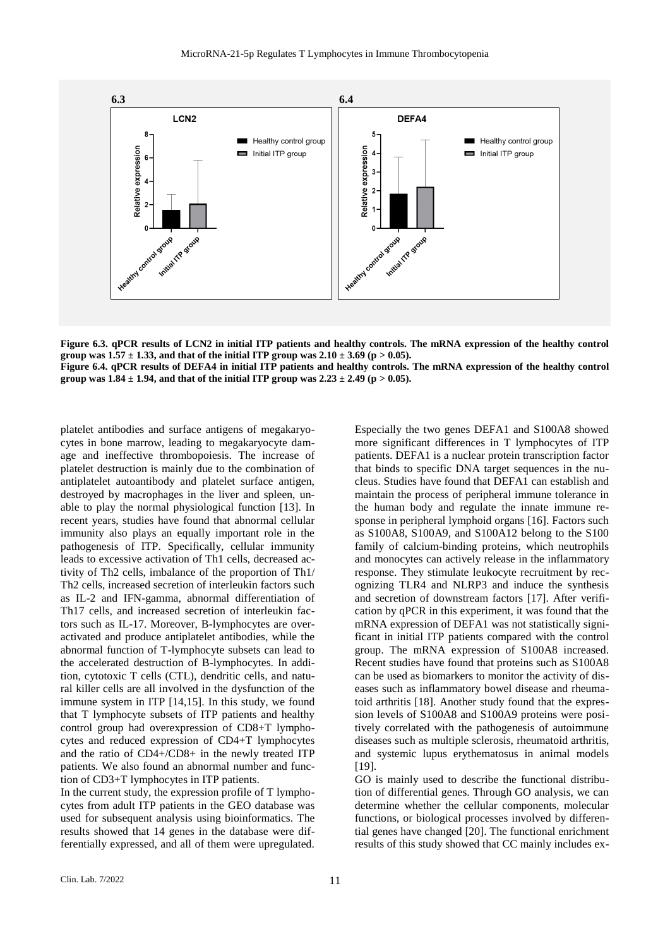

**Figure 6.3. qPCR results of LCN2 in initial ITP patients and healthy controls. The mRNA expression of the healthy control group** was  $1.57 \pm 1.33$ , and that of the initial ITP group was  $2.10 \pm 3.69$  (p  $> 0.05$ ). **Figure 6.4. qPCR results of DEFA4 in initial ITP patients and healthy controls. The mRNA expression of the healthy control group** was  $1.84 \pm 1.94$ , and that of the initial ITP group was  $2.23 \pm 2.49$  (p  $> 0.05$ ).

platelet antibodies and surface antigens of megakaryocytes in bone marrow, leading to megakaryocyte damage and ineffective thrombopoiesis. The increase of platelet destruction is mainly due to the combination of antiplatelet autoantibody and platelet surface antigen, destroyed by macrophages in the liver and spleen, unable to play the normal physiological function [13]. In recent years, studies have found that abnormal cellular immunity also plays an equally important role in the pathogenesis of ITP. Specifically, cellular immunity leads to excessive activation of Th1 cells, decreased activity of Th2 cells, imbalance of the proportion of Th1/ Th2 cells, increased secretion of interleukin factors such as IL-2 and IFN-gamma, abnormal differentiation of Th17 cells, and increased secretion of interleukin factors such as IL-17. Moreover, B-lymphocytes are overactivated and produce antiplatelet antibodies, while the abnormal function of T-lymphocyte subsets can lead to the accelerated destruction of B-lymphocytes. In addition, cytotoxic T cells (CTL), dendritic cells, and natural killer cells are all involved in the dysfunction of the immune system in ITP [14,15]. In this study, we found that T lymphocyte subsets of ITP patients and healthy control group had overexpression of CD8+T lymphocytes and reduced expression of CD4+T lymphocytes and the ratio of CD4+/CD8+ in the newly treated ITP patients. We also found an abnormal number and function of CD3+T lymphocytes in ITP patients.

In the current study, the expression profile of T lymphocytes from adult ITP patients in the GEO database was used for subsequent analysis using bioinformatics. The results showed that 14 genes in the database were differentially expressed, and all of them were upregulated.

Especially the two genes DEFA1 and S100A8 showed more significant differences in T lymphocytes of ITP patients. DEFA1 is a nuclear protein transcription factor that binds to specific DNA target sequences in the nucleus. Studies have found that DEFA1 can establish and maintain the process of peripheral immune tolerance in the human body and regulate the innate immune response in peripheral lymphoid organs [16]. Factors such as S100A8, S100A9, and S100A12 belong to the S100 family of calcium-binding proteins, which neutrophils and monocytes can actively release in the inflammatory response. They stimulate leukocyte recruitment by recognizing TLR4 and NLRP3 and induce the synthesis and secretion of downstream factors [17]. After verification by qPCR in this experiment, it was found that the mRNA expression of DEFA1 was not statistically significant in initial ITP patients compared with the control group. The mRNA expression of S100A8 increased. Recent studies have found that proteins such as S100A8 can be used as biomarkers to monitor the activity of diseases such as inflammatory bowel disease and rheumatoid arthritis [18]. Another study found that the expression levels of S100A8 and S100A9 proteins were positively correlated with the pathogenesis of autoimmune diseases such as multiple sclerosis, rheumatoid arthritis, and systemic lupus erythematosus in animal models [19].

GO is mainly used to describe the functional distribution of differential genes. Through GO analysis, we can determine whether the cellular components, molecular functions, or biological processes involved by differential genes have changed [20]. The functional enrichment results of this study showed that CC mainly includes ex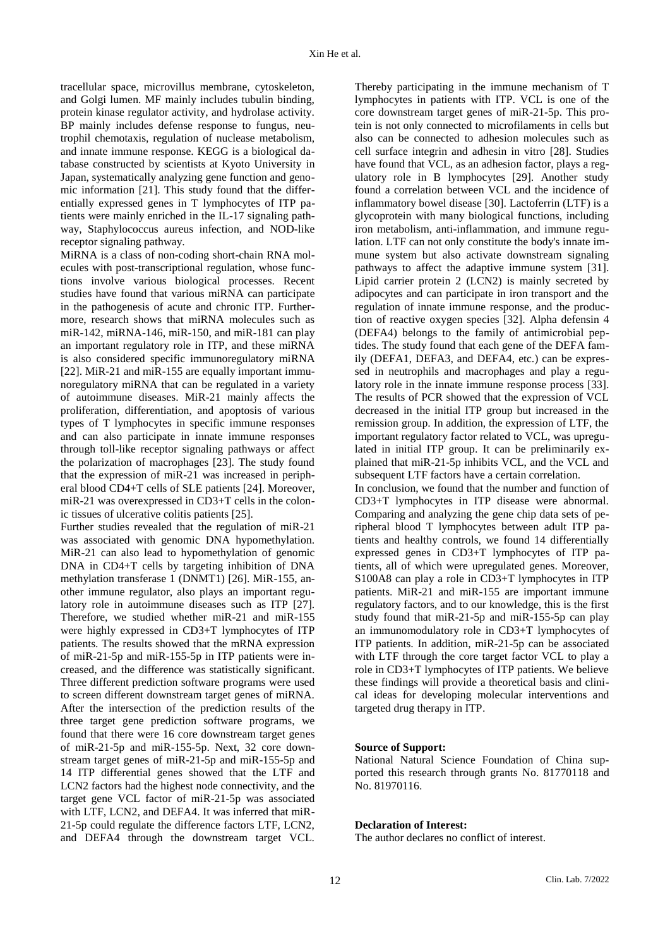tracellular space, microvillus membrane, cytoskeleton, and Golgi lumen. MF mainly includes tubulin binding, protein kinase regulator activity, and hydrolase activity. BP mainly includes defense response to fungus, neutrophil chemotaxis, regulation of nuclease metabolism, and innate immune response. KEGG is a biological database constructed by scientists at Kyoto University in Japan, systematically analyzing gene function and genomic information [21]. This study found that the differentially expressed genes in T lymphocytes of ITP patients were mainly enriched in the IL-17 signaling pathway, Staphylococcus aureus infection, and NOD-like receptor signaling pathway.

MiRNA is a class of non-coding short-chain RNA molecules with post-transcriptional regulation, whose functions involve various biological processes. Recent studies have found that various miRNA can participate in the pathogenesis of acute and chronic ITP. Furthermore, research shows that miRNA molecules such as miR-142, miRNA-146, miR-150, and miR-181 can play an important regulatory role in ITP, and these miRNA is also considered specific immunoregulatory miRNA [22]. MiR-21 and miR-155 are equally important immunoregulatory miRNA that can be regulated in a variety of autoimmune diseases. MiR-21 mainly affects the proliferation, differentiation, and apoptosis of various types of T lymphocytes in specific immune responses and can also participate in innate immune responses through toll-like receptor signaling pathways or affect the polarization of macrophages [23]. The study found that the expression of miR-21 was increased in peripheral blood CD4+T cells of SLE patients [24]. Moreover, miR-21 was overexpressed in CD3+T cells in the colonic tissues of ulcerative colitis patients [25].

Further studies revealed that the regulation of miR-21 was associated with genomic DNA hypomethylation. MiR-21 can also lead to hypomethylation of genomic DNA in CD4+T cells by targeting inhibition of DNA methylation transferase 1 (DNMT1) [26]. MiR-155, another immune regulator, also plays an important regulatory role in autoimmune diseases such as ITP [27]. Therefore, we studied whether miR-21 and miR-155 were highly expressed in CD3+T lymphocytes of ITP patients. The results showed that the mRNA expression of miR-21-5p and miR-155-5p in ITP patients were increased, and the difference was statistically significant. Three different prediction software programs were used to screen different downstream target genes of miRNA. After the intersection of the prediction results of the three target gene prediction software programs, we found that there were 16 core downstream target genes of miR-21-5p and miR-155-5p. Next, 32 core downstream target genes of miR-21-5p and miR-155-5p and 14 ITP differential genes showed that the LTF and LCN2 factors had the highest node connectivity, and the target gene VCL factor of miR-21-5p was associated with LTF, LCN2, and DEFA4. It was inferred that miR-21-5p could regulate the difference factors LTF, LCN2, and DEFA4 through the downstream target VCL.

Thereby participating in the immune mechanism of T lymphocytes in patients with ITP. VCL is one of the core downstream target genes of miR-21-5p. This protein is not only connected to microfilaments in cells but also can be connected to adhesion molecules such as cell surface integrin and adhesin in vitro [28]. Studies have found that VCL, as an adhesion factor, plays a regulatory role in B lymphocytes [29]. Another study found a correlation between VCL and the incidence of inflammatory bowel disease [30]. Lactoferrin (LTF) is a glycoprotein with many biological functions, including iron metabolism, anti-inflammation, and immune regulation. LTF can not only constitute the body's innate immune system but also activate downstream signaling pathways to affect the adaptive immune system [31]. Lipid carrier protein 2 (LCN2) is mainly secreted by adipocytes and can participate in iron transport and the regulation of innate immune response, and the production of reactive oxygen species [32]. Alpha defensin 4 (DEFA4) belongs to the family of antimicrobial peptides. The study found that each gene of the DEFA family (DEFA1, DEFA3, and DEFA4, etc.) can be expressed in neutrophils and macrophages and play a regulatory role in the innate immune response process [33]. The results of PCR showed that the expression of VCL decreased in the initial ITP group but increased in the remission group. In addition, the expression of LTF, the important regulatory factor related to VCL, was upregulated in initial ITP group. It can be preliminarily explained that miR-21-5p inhibits VCL, and the VCL and subsequent LTF factors have a certain correlation. In conclusion, we found that the number and function of CD3+T lymphocytes in ITP disease were abnormal.

Comparing and analyzing the gene chip data sets of peripheral blood T lymphocytes between adult ITP patients and healthy controls, we found 14 differentially expressed genes in CD3+T lymphocytes of ITP patients, all of which were upregulated genes. Moreover, S100A8 can play a role in CD3+T lymphocytes in ITP patients. MiR-21 and miR-155 are important immune regulatory factors, and to our knowledge, this is the first study found that miR-21-5p and miR-155-5p can play an immunomodulatory role in CD3+T lymphocytes of ITP patients. In addition, miR-21-5p can be associated with LTF through the core target factor VCL to play a role in CD3+T lymphocytes of ITP patients. We believe these findings will provide a theoretical basis and clinical ideas for developing molecular interventions and targeted drug therapy in ITP.

#### **Source of Support:**

National Natural Science Foundation of China supported this research through grants No. 81770118 and No. 81970116.

#### **Declaration of Interest:**

The author declares no conflict of interest.